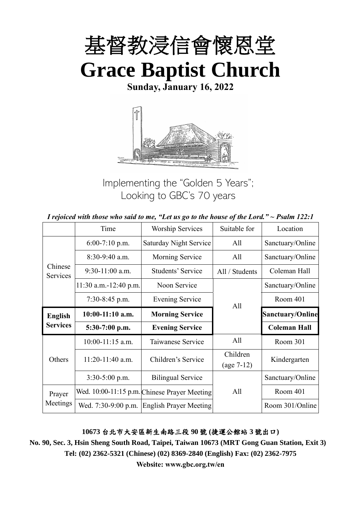

**Sunday, January 16, 2022**



Implementing the "Golden 5 Years"; Looking to GBC's 70 years

|  | I rejoiced with those who said to me, "Let us go to the house of the Lord." $\sim$ Psalm 122:1 |
|--|------------------------------------------------------------------------------------------------|
|--|------------------------------------------------------------------------------------------------|

|                                   | Time                    | <b>Worship Services</b>                      | Suitable for             | Location                |
|-----------------------------------|-------------------------|----------------------------------------------|--------------------------|-------------------------|
|                                   | $6:00-7:10$ p.m.        | <b>Saturday Night Service</b>                | All                      | Sanctuary/Online        |
|                                   | 8:30-9:40 a.m.          | Morning Service                              | All                      | Sanctuary/Online        |
| Chinese<br>Services               | $9:30-11:00$ a.m.       | Students' Service                            | All / Students           | Coleman Hall            |
|                                   | $11:30$ a.m.-12:40 p.m. | Noon Service                                 |                          | Sanctuary/Online        |
|                                   | $7:30-8:45$ p.m.        | <b>Evening Service</b>                       | All                      | Room 401                |
| <b>English</b><br><b>Services</b> | $10:00-11:10$ a.m.      | <b>Morning Service</b>                       |                          | <b>Sanctuary/Online</b> |
|                                   | 5:30-7:00 p.m.          | <b>Evening Service</b>                       |                          | <b>Coleman Hall</b>     |
|                                   | $10:00-11:15$ a.m.      | Taiwanese Service                            | All                      | Room 301                |
| Others                            | 11:20-11:40 a.m.        | Children's Service                           | Children<br>$(age 7-12)$ | Kindergarten            |
|                                   | 3:30-5:00 p.m.          | <b>Bilingual Service</b>                     |                          | Sanctuary/Online        |
| Prayer                            |                         | Wed. 10:00-11:15 p.m. Chinese Prayer Meeting | All                      | Room 401                |
| Meetings                          | Wed. 7:30-9:00 p.m.     | <b>English Prayer Meeting</b>                |                          | Room 301/Online         |

**10673** 台北市大安區新生南路三段 **90** 號 **(**捷運公館站 **3** 號出口**)**

**No. 90, Sec. 3, Hsin Sheng South Road, Taipei, Taiwan 10673 (MRT Gong Guan Station, Exit 3) Tel: (02) 2362-5321 (Chinese) (02) 8369-2840 (English) Fax: (02) 2362-7975**

**Website: www.gbc.org.tw/en**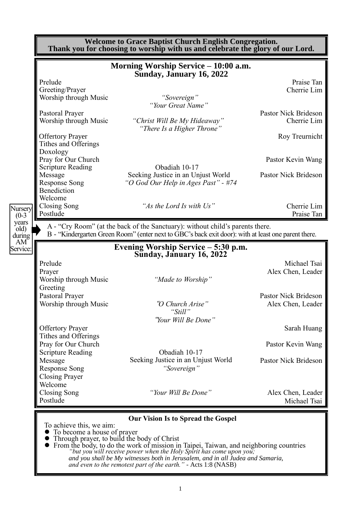|                                                 | Morning Worship Service - 10:00 a.m.<br>Sunday, January 16, 2022                                                                                                                                                            |                                                                                              |
|-------------------------------------------------|-----------------------------------------------------------------------------------------------------------------------------------------------------------------------------------------------------------------------------|----------------------------------------------------------------------------------------------|
| Prelude                                         |                                                                                                                                                                                                                             | Praise Tan                                                                                   |
| Greeting/Prayer                                 |                                                                                                                                                                                                                             | Cherrie Lim                                                                                  |
| Worship through Music                           | "Sovereign"<br>"Your Great Name"                                                                                                                                                                                            |                                                                                              |
| Pastoral Prayer                                 |                                                                                                                                                                                                                             | Pastor Nick Brideson                                                                         |
| Worship through Music                           | "Christ Will Be My Hideaway"<br>"There Is a Higher Throne"                                                                                                                                                                  | Cherrie Lim                                                                                  |
| <b>Offertory Prayer</b><br>Tithes and Offerings |                                                                                                                                                                                                                             | Roy Treurnicht                                                                               |
| Doxology<br>Pray for Our Church                 |                                                                                                                                                                                                                             | Pastor Kevin Wang                                                                            |
| <b>Scripture Reading</b>                        | Obadiah 10-17                                                                                                                                                                                                               |                                                                                              |
| Message<br><b>Response Song</b>                 | Seeking Justice in an Unjust World<br>"O God Our Help in Ages Past" - #74                                                                                                                                                   | Pastor Nick Brideson                                                                         |
| Benediction                                     |                                                                                                                                                                                                                             |                                                                                              |
| Welcome                                         |                                                                                                                                                                                                                             |                                                                                              |
|                                                 | "As the Lord Is with Us"                                                                                                                                                                                                    | Cherrie Lim                                                                                  |
| <b>Closing Song</b><br>Postlude                 | A - "Cry Room" (at the back of the Sanctuary): without child's parents there.<br>B - "Kindergarten Green Room" (enter next to GBC's back exit door): with at least one parent there.<br>Evening Worship Service - 5:30 p.m. |                                                                                              |
|                                                 | Sunday, January 16, 2022                                                                                                                                                                                                    |                                                                                              |
| Prelude                                         |                                                                                                                                                                                                                             |                                                                                              |
| Prayer<br>Worship through Music                 | "Made to Worship"                                                                                                                                                                                                           |                                                                                              |
| Greeting                                        |                                                                                                                                                                                                                             |                                                                                              |
| Pastoral Prayer                                 |                                                                                                                                                                                                                             |                                                                                              |
| Worship through Music                           | "O Church Arise"                                                                                                                                                                                                            |                                                                                              |
|                                                 | "Still"                                                                                                                                                                                                                     | Praise Tan<br>Michael Tsai<br>Alex Chen, Leader<br>Pastor Nick Brideson<br>Alex Chen, Leader |
|                                                 | "Your Will Be Done"                                                                                                                                                                                                         |                                                                                              |
| <b>Offertory Prayer</b><br>Tithes and Offerings |                                                                                                                                                                                                                             |                                                                                              |
| Pray for Our Church                             |                                                                                                                                                                                                                             |                                                                                              |
| <b>Scripture Reading</b>                        | Obadiah 10-17                                                                                                                                                                                                               | Sarah Huang<br>Pastor Kevin Wang                                                             |
| Message                                         | Seeking Justice in an Unjust World                                                                                                                                                                                          | Pastor Nick Brideson                                                                         |
| <b>Response Song</b>                            | "Sovereign"                                                                                                                                                                                                                 |                                                                                              |
| <b>Closing Prayer</b><br>Welcome                |                                                                                                                                                                                                                             |                                                                                              |
| Closing Song                                    | "Your Will Be Done"                                                                                                                                                                                                         | Alex Chen, Leader                                                                            |
| Postlude                                        |                                                                                                                                                                                                                             | Michael Tsai                                                                                 |

> *"but you will receive power when the Holy Spirit has come upon you; and you shall be My witnesses both in Jerusalem, and in all Judea and Samaria, and even to the remotest part of the earth." -* Acts 1:8 (NASB)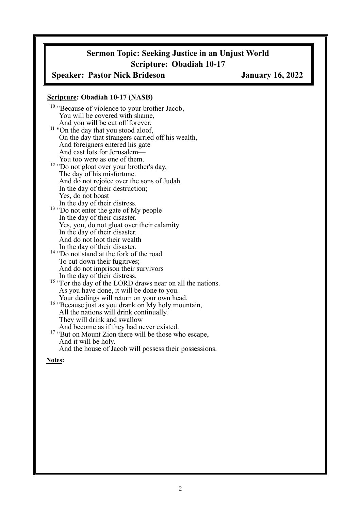## **Sermon Topic: Seeking Justice in an Unjust World Scripture: Obadiah 10-17**

### **Speaker: Pastor Nick Brideson January 16, 2022**

#### **Scripture: Obadiah 10-17 (NASB)**

<sup>10</sup> "Because of violence to your brother Jacob, You will be covered with shame, And you will be cut off forever.  $11$  "On the day that you stood aloof, On the day that strangers carried off his wealth, And foreigners entered his gate And cast lots for Jerusalem— You too were as one of them. <sup>12</sup> "Do not gloat over your brother's day, The day of his misfortune. And do not rejoice over the sons of Judah In the day of their destruction; Yes, do not boast In the day of their distress. <sup>13</sup> "Do not enter the gate of My people In the day of their disaster. Yes, you, do not gloat over their calamity In the day of their disaster. And do not loot their wealth In the day of their disaster. <sup>14</sup> "Do not stand at the fork of the road To cut down their fugitives; And do not imprison their survivors In the day of their distress. <sup>15</sup> "For the day of the LORD draws near on all the nations. As you have done, it will be done to you. Your dealings will return on your own head. <sup>16</sup> "Because just as you drank on My holy mountain, All the nations will drink continually. They will drink and swallow And become as if they had never existed. <sup>17</sup> "But on Mount Zion there will be those who escape,

And the house of Jacob will possess their possessions.

**Notes:**

And it will be holy.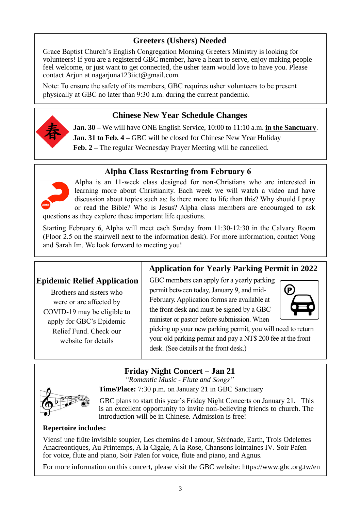# **Greeters (Ushers) Needed**

Grace Baptist Church's English Congregation Morning Greeters Ministry is looking for volunteers! If you are a registered GBC member, have a heart to serve, enjoy making people feel welcome, or just want to get connected, the usher team would love to have you. Please contact Arjun at nagarjuna123iict@gmail.com.

Note: To ensure the safety of its members, GBC requires usher volunteers to be present physically at GBC no later than 9:30 a.m. during the current pandemic.

### **Chinese New Year Schedule Changes**



**Jan. 30 –** We will have ONE English Service, 10:00 to 11:10 a.m. **in the Sanctuary**. **Jan. 31 to Feb. 4 –** GBC will be closed for Chinese New Year Holiday **Feb. 2 –** The regular Wednesday Prayer Meeting will be cancelled.

### **Alpha Class Restarting from February 6**



Alpha is an 11-week class designed for non-Christians who are interested in learning more about Christianity. Each week we will watch a video and have discussion about topics such as: Is there more to life than this? Why should I pray or read the Bible? Who is Jesus? Alpha class members are encouraged to ask questions as they explore these important life questions.

Starting February 6, Alpha will meet each Sunday from 11:30-12:30 in the Calvary Room (Floor 2.5 on the stairwell next to the information desk). For more information, contact Vong and Sarah Im. We look forward to meeting you!

### **Epidemic Relief Application**

Brothers and sisters who were or are affected by COVID-19 may be eligible to apply for GBC's Epidemic Relief Fund. Check our website for details

# **Application for Yearly Parking Permit in 2022**

GBC members can apply for a yearly parking permit between today, January 9, and mid-February. Application forms are available at the front desk and must be signed by a GBC minister or pastor before submission. When



picking up your new parking permit, you will need to return your old parking permit and pay a NT\$ 200 fee at the front desk. (See details at the front desk.)

# **Friday Night Concert – Jan 21**

*"Romantic Music - Flute and Songs"* **Time/Place:** 7:30 p.m. on January 21 in GBC Sanctuary



GBC plans to start this year's Friday Night Concerts on January 21. This is an excellent opportunity to invite non-believing friends to church. The introduction will be in Chinese. Admission is free!

### **Repertoire includes:**

Viens! une flûte invisible soupier, Les chemins de l amour, Sérénade, Earth, Trois Odelettes Anacreontiques, Au Printemps, A la Cigale, A la Rose, Chansons lointaines IV. Soir Païen for voice, flute and piano, Soir Païen for voice, flute and piano, and Agnus.

For more information on this concert, please visit the GBC website: https://www.gbc.org.tw/en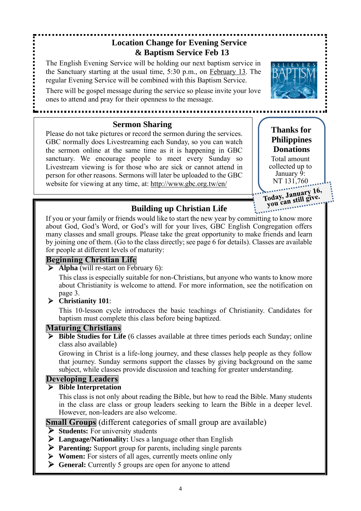# **Location Change for Evening Service & Baptism Service Feb 13**

The English Evening Service will be holding our next baptism service in the Sanctuary starting at the usual time, 5:30 p.m., on February 13. The regular Evening Service will be combined with this Baptism Service.

There will be gospel message during the service so please invite your love ones to attend and pray for their openness to the message.

### **Sermon Sharing**

Please do not take pictures or record the sermon during the services. GBC normally does Livestreaming each Sunday, so you can watch the sermon online at the same time as it is happening in GBC sanctuary. We encourage people to meet every Sunday so Livestream viewing is for those who are sick or cannot attend in person for other reasons. Sermons will later be uploaded to the GBC website for viewing at any time, at: http://www.gbc.org.tw/en/

**Thanks for Philippines Donations**

Total amount collected up to January 9: NT 131,760

Today, January 16,<br>Today, January 16, roday, January To,<br>you can still give.

### **Building up Christian Life**

If you or your family or friends would like to start the new year by committing to know more about God, God's Word, or God's will for your lives, GBC English Congregation offers many classes and small groups. Please take the great opportunity to make friends and learn by joining one of them. (Go to the class directly; see page 6 for details). Classes are available for people at different levels of maturity:

### **Beginning Christian Life**

➢ **Alpha** (will re-start on February 6):

This class is especially suitable for non-Christians, but anyone who wants to know more about Christianity is welcome to attend. For more information, see the notification on page 3.

### ➢ **Christianity 101**:

This 10-lesson cycle introduces the basic teachings of Christianity. Candidates for baptism must complete this class before being baptized.

### **Maturing Christians**

➢ **Bible Studies for Life** (6 classes available at three times periods each Sunday; online class also available)

Growing in Christ is a life-long journey, and these classes help people as they follow that journey. Sunday sermons support the classes by giving background on the same subject, while classes provide discussion and teaching for greater understanding.

### **Developing Leaders**

### ➢ **Bible Interpretation**

This class is not only about reading the Bible, but how to read the Bible. Many students in the class are class or group leaders seeking to learn the Bible in a deeper level. However, non-leaders are also welcome.

**Small Groups** (different categories of small group are available)

- ➢ **Students:** For university students
- ➢ **Language/Nationality:** Uses a language other than English
- ➢ **Parenting:** Support group for parents, including single parents
- ➢ **Women:** For sisters of all ages, currently meets online only
- ➢ **General:** Currently 5 groups are open for anyone to attend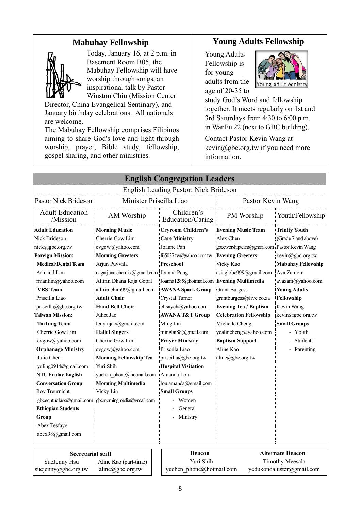### **Mabuhay Fellowship**



suejenny@gbc.org.tw

aline@gbc.org.tw

Today, January 16, at 2 p.m. in Basement Room B05, the Mabuhay Fellowship will have worship through songs, an inspirational talk by Pastor Winston Chiu (Mission Center

Director, China Evangelical Seminary), and January birthday celebrations. All nationals are welcome.

The Mabuhay Fellowship comprises Filipinos aiming to share God's love and light through worship, prayer, Bible study, fellowship, gospel sharing, and other ministries.

### **Young Adults Fellowship**

Young Adults Fellowship is for young adults from the age of 20-35 to



study God's Word and fellowship together. It meets regularly on 1st and 3rd Saturdays from 4:30 to 6:00 p.m. in WanFu 22 (next to GBC building).

Contact Pastor Kevin Wang at  $\frac{\text{kevin}(a) \text{gbc.org.tw}}{\text{if you need more}}$ information.

|                                    |                                         | <b>English Congregation Leaders</b>       |                                             |                           |  |
|------------------------------------|-----------------------------------------|-------------------------------------------|---------------------------------------------|---------------------------|--|
|                                    |                                         | English Leading Pastor: Nick Brideson     |                                             |                           |  |
| Pastor Nick Brideson               | Minister Priscilla Liao                 |                                           | Pastor Kevin Wang                           |                           |  |
| <b>Adult Education</b><br>/Mission | AM Worship                              | Children's<br>Education/Caring            | PM Worship                                  | Youth/Fellowship          |  |
| <b>Adult Education</b>             | <b>Morning Music</b>                    | <b>Cryroom Children's</b>                 | <b>Evening Music Team</b>                   | <b>Trinity Youth</b>      |  |
| Nick Brideson                      | Cherrie Gow Lim                         | <b>Care Ministry</b>                      | Alex Chen                                   | (Grade 7 and above)       |  |
| nick@gbc.org.tw                    | cvgow@yahoo.com                         | Joanne Pan                                | gbceworshipteam@gmail.com Pastor Kevin Wang |                           |  |
| <b>Foreign Mission:</b>            | <b>Morning Greeters</b>                 | f65027.tw@yahoo.com.tw                    | <b>Evening Greeters</b>                     | kevin@gbc.org.tw          |  |
| <b>Medical/Dental Team</b>         | Arjun Puvvala                           | <b>Preschool</b>                          | Vicky Kuo                                   | <b>Mabuhay Fellowship</b> |  |
| Armand Lim                         | nagarjuna.chemist@gmail.com Joanna Peng |                                           | asiaglobe999@gmail.com                      | Ava Zamora                |  |
| rmanlim@yahoo.com                  | Alltrin Dhana Raja Gopal                | Joanna1285@hotmail.com Evening Multimedia |                                             | avazam@yahoo.com          |  |
| <b>VBS</b> Team                    | alltrin.chim99@gmail.com                | <b>AWANA Spark Group</b>                  | <b>Grant Burgess</b>                        | <b>Young Adults</b>       |  |
| Priscilla Liao                     | <b>Adult Choir</b>                      | Crystal Turner                            | grantburgess@live.co.za                     | Fellowship                |  |
| priscilla@gbc.org.tw               | <b>Hand Bell Choir</b>                  | elisayeh@yahoo.com                        | <b>Evening Tea / Baptism</b>                | Kevin Wang                |  |
| <b>Taiwan Mission:</b>             | Juliet Jao                              | <b>AWANA T&amp;T Group</b>                | <b>Celebration Fellowship</b>               | kevin@gbc.org.tw          |  |
| <b>TaiTung Team</b>                | lenyinjao@gmail.com                     | Ming Lai                                  | Michelle Cheng                              | <b>Small Groups</b>       |  |
| Cherrie Gow Lim                    | <b>Hallel Singers</b>                   | minglai88@gmail.com                       | yealincheng@yahoo.com                       | - Youth                   |  |
| cvgow@yahoo.com                    | Cherrie Gow Lim                         | <b>Prayer Ministry</b>                    | <b>Baptism Support</b>                      | <b>Students</b>           |  |
| <b>Orphanage Ministry</b>          | cvgow@yahoo.com                         | Priscilla Liao                            | Aline Kao                                   | - Parenting               |  |
| Julie Chen                         | <b>Morning Fellowship Tea</b>           | priscilla@gbc.org.tw                      | aline@gbc.org.tw                            |                           |  |
| yuling0914@gmail.com               | Yuri Shih                               | <b>Hospital Visitation</b>                |                                             |                           |  |
| <b>NTU Friday English</b>          | yuchen phone@hotmail.com                | Amanda Lou                                |                                             |                           |  |
| <b>Conversation Group</b>          | <b>Morning Multimedia</b>               | lou.amanda@gmail.com                      |                                             |                           |  |
| Roy Treurnicht                     | Vicky Lin                               | <b>Small Groups</b>                       |                                             |                           |  |
| gbcecntuclass@gmail.com            | gbcmomingmedia@gmail.com                | Women                                     |                                             |                           |  |
| <b>Ethiopian Students</b>          |                                         | General                                   |                                             |                           |  |
| Group                              |                                         | Ministry                                  |                                             |                           |  |
| Abex Tesfaye                       |                                         |                                           |                                             |                           |  |
| abex98@gmail.com                   |                                         |                                           |                                             |                           |  |
| <b>Secretarial staff</b>           |                                         | Deacon                                    |                                             | <b>Alternate Deacon</b>   |  |
| SueJenny Hsu                       | Aline Kao (part-time)                   | Yuri Shih                                 | <b>Timothy Meesala</b>                      |                           |  |

yuchen\_phone@hotmail.com

[yedukondaluster@gmail.com](mailto:yedukondaluster@gmail.com)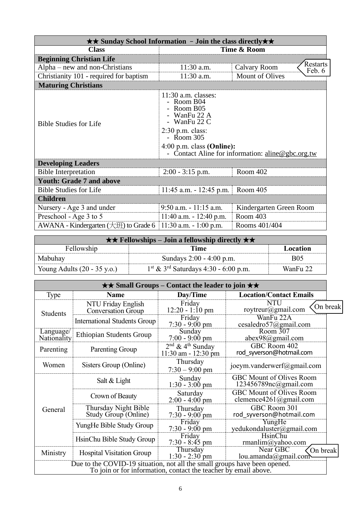| $\star\star$ Sunday School Information - Join the class directly $\star\star$ |                                                                                                                                                                                                           |                         |  |  |
|-------------------------------------------------------------------------------|-----------------------------------------------------------------------------------------------------------------------------------------------------------------------------------------------------------|-------------------------|--|--|
| <b>Class</b>                                                                  | Time & Room                                                                                                                                                                                               |                         |  |  |
| <b>Beginning Christian Life</b>                                               | Restarts                                                                                                                                                                                                  |                         |  |  |
| $Alpha$ – new and non-Christians                                              | 11:30 a.m.<br><b>Calvary Room</b>                                                                                                                                                                         |                         |  |  |
| Christianity 101 - required for baptism                                       | Feb. 6<br><b>Mount of Olives</b><br>11:30 a.m.                                                                                                                                                            |                         |  |  |
| <b>Maturing Christians</b>                                                    |                                                                                                                                                                                                           |                         |  |  |
| <b>Bible Studies for Life</b>                                                 | $11:30$ a.m. classes:<br>- Room B04<br>Room B05<br>- WanFu 22 A<br>- WanFu 22 C<br>$2:30$ p.m. class:<br>- Room $305$<br>$4:00$ p.m. class (Online):<br>- Contact Aline for information: aline@gbc.org.tw |                         |  |  |
| <b>Developing Leaders</b>                                                     |                                                                                                                                                                                                           |                         |  |  |
| <b>Bible Interpretation</b>                                                   | $2:00 - 3:15$ p.m.                                                                                                                                                                                        | Room 402                |  |  |
| <b>Youth: Grade 7 and above</b>                                               |                                                                                                                                                                                                           |                         |  |  |
| <b>Bible Studies for Life</b>                                                 | $11:45$ a.m. $-12:45$ p.m.                                                                                                                                                                                | Room 405                |  |  |
| <b>Children</b>                                                               |                                                                                                                                                                                                           |                         |  |  |
| Nursery - Age 3 and under                                                     | 9:50 a.m. - 11:15 a.m.                                                                                                                                                                                    | Kindergarten Green Room |  |  |
| Preschool - Age 3 to 5                                                        | $11:40$ a.m. $-12:40$ p.m.                                                                                                                                                                                | Room 403                |  |  |
| AWANA - Kindergarten $(\pm 1)$ to Grade 6                                     | $11:30$ a.m. $-1:00$ p.m.                                                                                                                                                                                 | Rooms 401/404           |  |  |

| $\star \star$ Fellowships – Join a fellowship directly $\star \star$ |                                                    |            |  |  |
|----------------------------------------------------------------------|----------------------------------------------------|------------|--|--|
| Fellowship<br>Location<br>Time                                       |                                                    |            |  |  |
| Mabuhay                                                              | Sundays 2:00 - 4:00 p.m.                           | <b>B05</b> |  |  |
| Young Adults $(20 - 35 \text{ y.o.})$                                | $1st$ & 3 <sup>rd</sup> Saturdays 4:30 - 6:00 p.m. | WanFu 22   |  |  |

| $\star\star$ Small Groups – Contact the leader to join $\star\star$                                                                          |                                                 |                                                                              |                                                          |          |  |
|----------------------------------------------------------------------------------------------------------------------------------------------|-------------------------------------------------|------------------------------------------------------------------------------|----------------------------------------------------------|----------|--|
| Type                                                                                                                                         | <b>Name</b>                                     | Day/Time                                                                     | <b>Location/Contact Emails</b>                           |          |  |
| Students                                                                                                                                     | NTU Friday English<br><b>Conversation Group</b> | Friday<br>$12:20 - 1:10 \text{ pm}$                                          | <b>NTU</b><br>roytreur@gmail.com                         | On break |  |
|                                                                                                                                              | <b>International Students Group</b>             | Friday<br>$7:30 - 9:00$ pm                                                   | WanFu 22A<br>cesaledro57@gmail.com                       |          |  |
| Language/<br>Nationality                                                                                                                     | <b>Ethiopian Students Group</b>                 | Sunday<br>$7:00 - 9:00$ pm                                                   | Room 307<br>abex98@gmail.com                             |          |  |
| Parenting                                                                                                                                    | Parenting Group                                 | $2nd$ & 4 <sup>th</sup> Sunday<br>$11:30$ am - $12:30$ pm                    | GBC Room 402<br>rod syverson@hotmail.com                 |          |  |
| Women                                                                                                                                        | Sisters Group (Online)                          | Thursday<br>$7:30 - 9:00$ pm                                                 | joeym.vanderwerf@gmail.com                               |          |  |
| Salt & Light<br>Crown of Beauty                                                                                                              |                                                 | Sunday<br>$1:30 - 3:00$ pm                                                   | <b>GBC Mount of Olives Room</b><br>123456789nc@gmail.com |          |  |
|                                                                                                                                              |                                                 | Saturday<br>$2:00 - 4:00$ pm                                                 | GBC Mount of Olives Room<br>clemence4261@gmail.com       |          |  |
| General                                                                                                                                      | Thursday Night Bible<br>Study Group (Online)    | Thursday<br>$7:30 - 9:00$ pm                                                 | GBC Room 301<br>rod syverson@hotmail.com                 |          |  |
|                                                                                                                                              | YungHe Bible Study Group                        | Friday<br>$7:30 - 9:00 \text{ pm}$                                           | YungHe<br>yedukondaluster@gmail.com                      |          |  |
|                                                                                                                                              | HsinChu Bible Study Group                       | Friday<br>$7:30 - 8:45$ pm                                                   | <b>HsinChu</b><br>rmanlim@yahoo.com                      |          |  |
| Ministry                                                                                                                                     | <b>Hospital Visitation Group</b>                | Near GBC<br>Thursday<br>On break<br>$1:30 - 2:30$ pm<br>lou.amanda@gmail.com |                                                          |          |  |
| Due to the COVID-19 situation, not all the small groups have been opened.<br>To join or for information, contact the teacher by email above. |                                                 |                                                                              |                                                          |          |  |